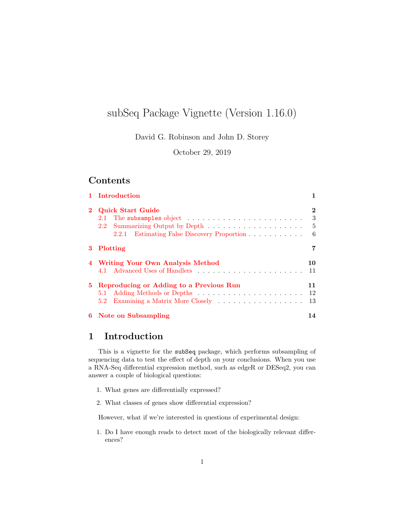# subSeq Package Vignette (Version 1.16.0)

David G. Robinson and John D. Storey

October 29, 2019

#### Contents

|          | 1 Introduction                                                                         |    |  |  |  |  |
|----------|----------------------------------------------------------------------------------------|----|--|--|--|--|
| $\bf{2}$ | <b>Quick Start Guide</b>                                                               |    |  |  |  |  |
|          | The subsamples object $\ldots \ldots \ldots \ldots \ldots \ldots \ldots \ldots$<br>2.1 | 3  |  |  |  |  |
|          | $2.2^{\circ}$                                                                          | 5  |  |  |  |  |
|          | 2.2.1 Estimating False Discovery Proportion                                            | 6  |  |  |  |  |
| 3.       | Plotting                                                                               |    |  |  |  |  |
|          | 4 Writing Your Own Analysis Method                                                     |    |  |  |  |  |
|          | 4.1                                                                                    | 11 |  |  |  |  |
| 5.       | Reproducing or Adding to a Previous Run                                                |    |  |  |  |  |
|          |                                                                                        | 12 |  |  |  |  |
|          | 5.2                                                                                    | 13 |  |  |  |  |
|          | 6 Note on Subsampling                                                                  | 14 |  |  |  |  |

# <span id="page-0-0"></span>1 Introduction

This is a vignette for the subSeq package, which performs subsampling of sequencing data to test the effect of depth on your conclusions. When you use a RNA-Seq differential expression method, such as edgeR or DESeq2, you can answer a couple of biological questions:

- 1. What genes are differentially expressed?
- 2. What classes of genes show differential expression?

However, what if we're interested in questions of experimental design:

1. Do I have enough reads to detect most of the biologically relevant differences?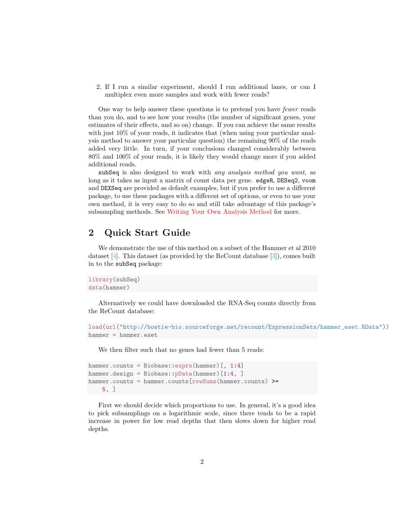2. If I run a similar experiment, should I run additional lanes, or can I multiplex even more samples and work with fewer reads?

One way to help answer these questions is to pretend you have fewer reads than you do, and to see how your results (the number of significant genes, your estimates of their effects, and so on) change. If you can achieve the same results with just  $10\%$  of your reads, it indicates that (when using your particular analysis method to answer your particular question) the remaining 90% of the reads added very little. In turn, if your conclusions changed considerably between 80% and 100% of your reads, it is likely they would change more if you added additional reads.

subSeq is also designed to work with any analysis method you want, as long as it takes as input a matrix of count data per gene. edgeR, DESeq2, voom and DEXSeq are provided as default examples, but if you prefer to use a different package, to use these packages with a different set of options, or even to use your own method, it is very easy to do so and still take advantage of this package's subsampling methods. See [Writing Your Own Analysis Method](#page-9-0) for more.

# <span id="page-1-0"></span>2 Quick Start Guide

We demonstrate the use of this method on a subset of the Hammer et al 2010 dataset  $[4]$ . This dataset (as provided by the ReCount database  $[3]$ ), comes built in to the subSeq package:

```
library(subSeq)
data(hammer)
```
Alternatively we could have downloaded the RNA-Seq counts directly from the ReCount database:

```
load(url("http://bowtie-bio.sourceforge.net/recount/ExpressionSets/hammer_eset.RData"))
hammer = hammer.eset
```
We then filter such that no genes had fewer than 5 reads:

```
hammer.counts = Biobase::exprs(hammer) [, 1:4]
hammer.design = Biobase:: pData(hammer) [1:4, ]
hammer.counts = hammer.counts[rowSums(hammer.counts) >=
    5, ]
```
First we should decide which proportions to use. In general, it's a good idea to pick subsamplings on a logarithmic scale, since there tends to be a rapid increase in power for low read depths that then slows down for higher read depths.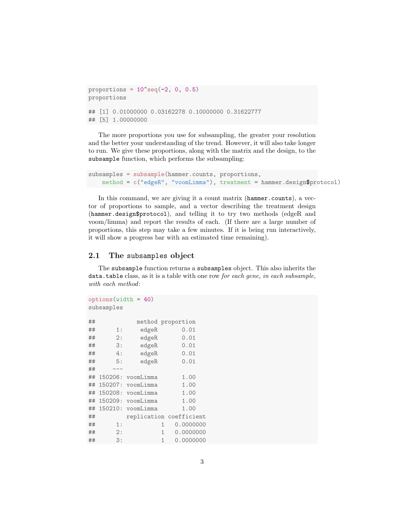```
proportions = 10^{\circ}seq(-2, 0, 0.5)
proportions
## [1] 0.01000000 0.03162278 0.10000000 0.31622777
## [5] 1.00000000
```
The more proportions you use for subsampling, the greater your resolution and the better your understanding of the trend. However, it will also take longer to run. We give these proportions, along with the matrix and the design, to the subsample function, which performs the subsampling:

```
subsamples = subsample(hammer.counts, proportions,
   method = c("edgeR", "voomLimma"), treatment = hammer.design$protocol)
```
In this command, we are giving it a count matrix (hammer.counts), a vector of proportions to sample, and a vector describing the treatment design (hammer.design\$protocol), and telling it to try two methods (edgeR and voom/limma) and report the results of each. (If there are a large number of proportions, this step may take a few minutes. If it is being run interactively, it will show a progress bar with an estimated time remaining).

#### <span id="page-2-0"></span>2.1 The subsamples object

The subsample function returns a subsamples object. This also inherits the data.table class, as it is a table with one row for each gene, in each subsample, with each method:

```
options(width = 40)
subsamples
## method proportion
## 1: edgeR 0.01
## 2: edgeR 0.01
## 3: edgeR 0.01
## 4: edgeR 0.01
## 5: edgeR 0.01
## ---
## 150206: voomLimma 1.00
## 150207: voomLimma 1.00
## 150208: voomLimma 1.00
## 150209: voomLimma 1.00
## 150210: voomLimma 1.00
## replication coefficient
## 1: 1 0.0000000
## 2: 1 0.0000000
## 3: 1 0.0000000
```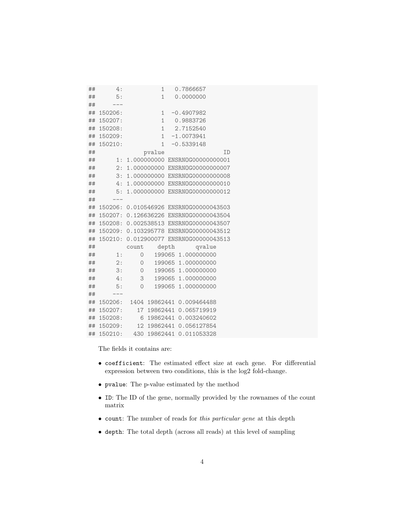| ## | 4:      |          | $\mathbf{1}$ | 0.7866657                      |  |
|----|---------|----------|--------------|--------------------------------|--|
| ## | 5:      |          | $\mathbf{1}$ | 0.0000000                      |  |
| ## |         |          |              |                                |  |
| ## | 150206: |          | 1            | $-0.4907982$                   |  |
| ## | 150207: |          |              | 1 0.9883726                    |  |
| ## | 150208: |          |              | 1 2.7152540                    |  |
| ## | 150209: |          | $\mathbf{1}$ | $-1.0073941$                   |  |
| ## | 150210: |          | $\mathbf{1}$ | $-0.5339148$                   |  |
| ## |         |          | pvalue       | ID                             |  |
| ## | 1:      |          |              | 1.000000000 ENSRN0G00000000001 |  |
| ## | 2:      |          |              | 1.000000000 ENSRN0G00000000007 |  |
| ## | 3:      |          |              | 1.000000000 ENSRN0G00000000008 |  |
| ## | 4:      |          |              | 1.000000000 ENSRNOG00000000010 |  |
| ## | 5:      |          |              | 1.000000000 ENSRN0G00000000012 |  |
| ## |         |          |              |                                |  |
| ## | 150206: |          |              | 0.010546926 ENSRN0G00000043503 |  |
| ## | 150207: |          |              | 0.126636226 ENSRN0G00000043504 |  |
| ## | 150208: |          |              | 0.002538513 ENSRN0G00000043507 |  |
| ## | 150209: |          |              | 0.103295778 ENSRN0G00000043512 |  |
| ## | 150210: |          |              | 0.012900077 ENSRN0G00000043513 |  |
| ## |         |          |              | count depth qvalue             |  |
| ## | 1:      | $\circ$  |              | 199065 1.000000000             |  |
| ## | 2:      | $\circ$  |              | 199065 1.000000000             |  |
| ## | 3:      | $\circ$  |              | 199065 1.000000000             |  |
| ## | 4:      | 3        |              | 199065 1.000000000             |  |
| ## | 5:      | $\Omega$ |              | 199065 1.000000000             |  |
| ## |         |          |              |                                |  |
| ## | 150206: | 1404     | 19862441     | 0.009464488                    |  |
| ## | 150207: | 17       | 19862441     | 0.065719919                    |  |
| ## | 150208: | 6        | 19862441     | 0.003240602                    |  |
| ## | 150209: | 12       | 19862441     | 0.056127854                    |  |
| ## | 150210: |          | 430 19862441 | 0.011053328                    |  |

The fields it contains are:

- coefficient: The estimated effect size at each gene. For differential expression between two conditions, this is the log2 fold-change.
- pvalue: The p-value estimated by the method
- ID: The ID of the gene, normally provided by the rownames of the count matrix
- count: The number of reads for this particular gene at this depth
- depth: The total depth (across all reads) at this level of sampling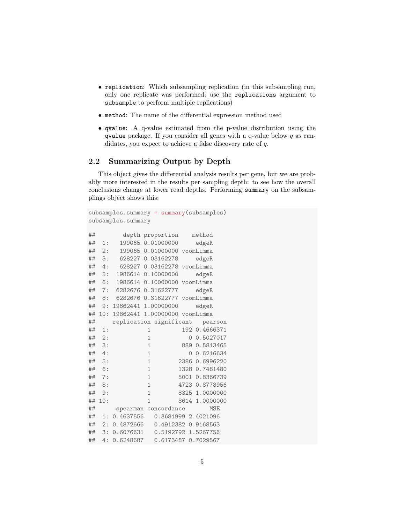- replication: Which subsampling replication (in this subsampling run, only one replicate was performed; use the replications argument to subsample to perform multiple replications)
- method: The name of the differential expression method used
- qvalue: A q-value estimated from the p-value distribution using the qvalue package. If you consider all genes with a q-value below  $q$  as candidates, you expect to achieve a false discovery rate of q.

#### <span id="page-4-0"></span>2.2 Summarizing Output by Depth

This object gives the differential analysis results per gene, but we are probably more interested in the results per sampling depth: to see how the overall conclusions change at lower read depths. Performing summary on the subsamplings object shows this:

```
subsamples.summary = summary(subsamples)
subsamples.summary
## depth proportion method
## 1: 199065 0.01000000 edgeR
## 2: 199065 0.01000000 voomLimma
## 3: 628227 0.03162278 edgeR
## 4: 628227 0.03162278 voomLimma
## 5: 1986614 0.10000000 edgeR
## 6: 1986614 0.10000000 voomLimma
## 7: 6282676 0.31622777 edgeR
## 8: 6282676 0.31622777 voomLimma
## 9: 19862441 1.00000000 edgeR
## 10: 19862441 1.00000000 voomLimma
## replication significant pearson
## 1: 1 192 0.4666371
## 2: 1 0 0.5027017
## 3: 1 889 0.5813465
## 4: 1 0 0.6216634
## 5: 1 2386 0.6996220
## 6: 1 1328 0.7481480
## 7: 1 5001 0.8366739
## 8: 1 4723 0.8778956
## 9: 1 8325 1.0000000
## 10: 1 8614 1.0000000
## spearman concordance MSE
## 1: 0.4637556 0.3681999 2.4021096
## 2: 0.4872666 0.4912382 0.9168563
## 3: 0.6076631 0.5192792 1.5267756
## 4: 0.6248687 0.6173487 0.7029567
```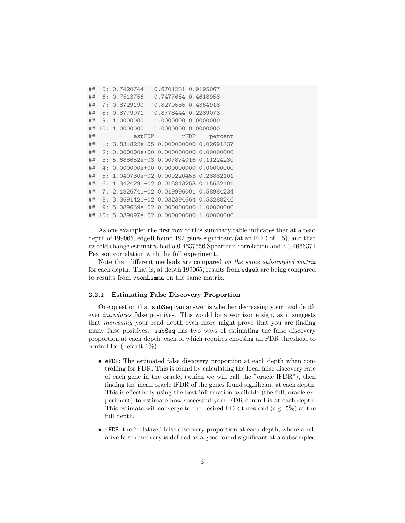| ## |    | 5:0.7420744                             | 0.6701231 0.9195067 |         |
|----|----|-----------------------------------------|---------------------|---------|
| ## | 6: | 0.7513756                               | 0.7477654 0.4618958 |         |
| ## | 7: | 0.8729190                               | 0.8279535 0.4364918 |         |
| ## | 8: | 0.8779971                               | 0.8778444 0.2289073 |         |
| ## |    | 9:1.0000000                             | 1.0000000 0.0000000 |         |
| ## |    | 10:1.0000000                            | 1,0000000 0,0000000 |         |
| ## |    | estFDP                                  | rFDP                | percent |
| ## |    | 1: 3.831822e-05 0.000000000 0.02691337  |                     |         |
| ## | 2: | 0.000000e+00  0.000000000  0.00000000   |                     |         |
| ## |    | 3: 5.688652e-03 0.007874016 0.11224230  |                     |         |
| ## | 4: | 0.000000e+00 0.000000000 0.00000000     |                     |         |
| ## | 5: | 1.040730e-02 0.009220453 0.28882101     |                     |         |
| ## | 6: | 1.342429e-02 0.015813253 0.15632101     |                     |         |
| ## |    | 7: 2.182674e-02 0.019996001 0.58984234  |                     |         |
| ## | 8: | 3.369142e-02 0.032394664 0.53288246     |                     |         |
| ## | 9: | 5.089659e-02 0.000000000 1.00000000     |                     |         |
| ## |    | 10: 5.039097e-02 0.000000000 1.00000000 |                     |         |

As one example: the first row of this summary table indicates that at a read depth of 199065, edgeR found 192 genes significant (at an FDR of .05), and that its fold change estimates had a 0.4637556 Spearman correlation and a 0.4666371 Pearson correlation with the full experiment.

Note that different methods are compared on the same subsampled matrix for each depth. That is, at depth 199065, results from edgeR are being compared to results from voomLimma on the same matrix.

#### <span id="page-5-0"></span>2.2.1 Estimating False Discovery Proportion

One question that subSeq can answer is whether decreasing your read depth ever introduces false positives. This would be a worrisome sign, as it suggests that increasing your read depth even more might prove that you are finding many false positives. subSeq has two ways of estimating the false discovery proportion at each depth, each of which requires choosing an FDR threshold to control for (default 5%):

- eFDP: The estimated false discovery proportion at each depth when controlling for FDR. This is found by calculating the local false discovery rate of each gene in the oracle, (which we will call the "oracle lFDR"), then finding the mean oracle lFDR of the genes found significant at each depth. This is effectively using the best information available (the full, oracle experiment) to estimate how successful your FDR control is at each depth. This estimate will converge to the desired FDR threshold (e.g. 5%) at the full depth.
- rFDP: the "relative" false discovery proportion at each depth, where a relative false discovery is defined as a gene found significant at a subsampled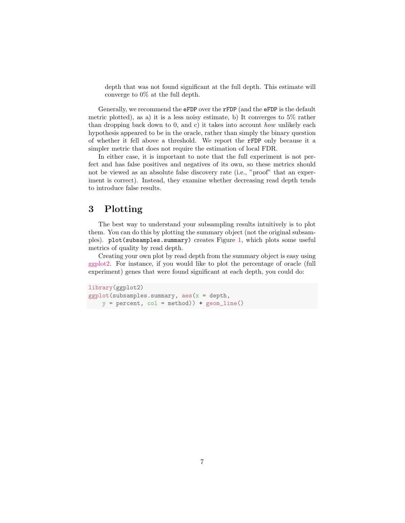depth that was not found significant at the full depth. This estimate will converge to 0% at the full depth.

Generally, we recommend the eFDP over the rFDP (and the eFDP is the default metric plotted), as a) it is a less noisy estimate, b) It converges to 5% rather than dropping back down to 0, and c) it takes into account how unlikely each hypothesis appeared to be in the oracle, rather than simply the binary question of whether it fell above a threshold. We report the rFDP only because it a simpler metric that does not require the estimation of local FDR.

In either case, it is important to note that the full experiment is not perfect and has false positives and negatives of its own, so these metrics should not be viewed as an absolute false discovery rate (i.e., "proof" that an experiment is correct). Instead, they examine whether decreasing read depth tends to introduce false results.

### <span id="page-6-0"></span>3 Plotting

The best way to understand your subsampling results intuitively is to plot them. You can do this by plotting the summary object (not the original subsamples). plot(subsamples.summary) creates Figure [1,](#page-7-0) which plots some useful metrics of quality by read depth.

Creating your own plot by read depth from the summary object is easy using [ggplot2.](http://ggplot2.org/) For instance, if you would like to plot the percentage of oracle (full experiment) genes that were found significant at each depth, you could do:

```
library(ggplot2)
ggplot(subsamples.summary, aes(x = depth,y = percent, col = method) + geom\_line()
```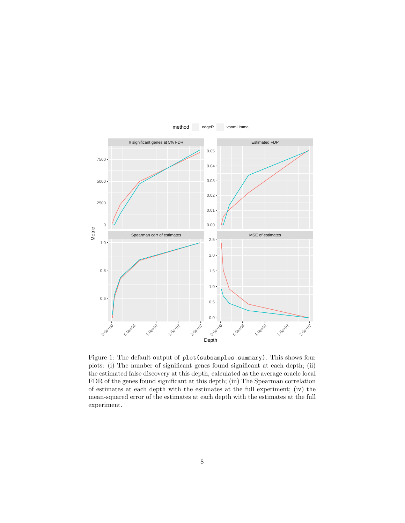

<span id="page-7-0"></span>Figure 1: The default output of plot(subsamples.summary). This shows four plots: (i) The number of significant genes found significant at each depth; (ii) the estimated false discovery at this depth, calculated as the average oracle local FDR of the genes found significant at this depth; (iii) The Spearman correlation of estimates at each depth with the estimates at the full experiment; (iv) the mean-squared error of the estimates at each depth with the estimates at the full experiment.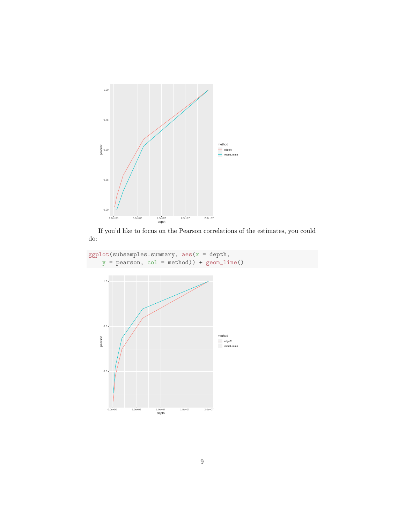

If you'd like to focus on the Pearson correlations of the estimates, you could do:

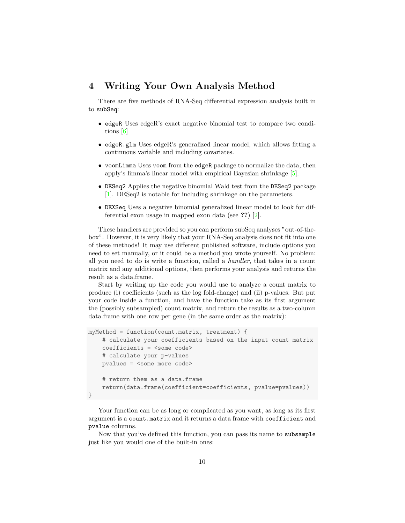#### <span id="page-9-0"></span>4 Writing Your Own Analysis Method

There are five methods of RNA-Seq differential expression analysis built in to subSeq:

- edgeR Uses edgeR's exact negative binomial test to compare two conditions [\[6\]](#page-14-0)
- edgeR.glm Uses edgeR's generalized linear model, which allows fitting a continuous variable and including covariates.
- voomLimma Uses voom from the edgeR package to normalize the data, then apply's limma's linear model with empirical Bayesian shrinkage [\[5\]](#page-14-1).
- DESeq2 Applies the negative binomial Wald test from the DESeq2 package [\[1\]](#page-13-3). DESeq2 is notable for including shrinkage on the parameters.
- DEXSeq Uses a negative binomial generalized linear model to look for differential exon usage in mapped exon data (see ??) [\[2\]](#page-13-4).

These handlers are provided so you can perform subSeq analyses "out-of-thebox". However, it is very likely that your RNA-Seq analysis does not fit into one of these methods! It may use different published software, include options you need to set manually, or it could be a method you wrote yourself. No problem: all you need to do is write a function, called a handler, that takes in a count matrix and any additional options, then performs your analysis and returns the result as a data.frame.

Start by writing up the code you would use to analyze a count matrix to produce (i) coefficients (such as the log fold-change) and (ii) p-values. But put your code inside a function, and have the function take as its first argument the (possibly subsampled) count matrix, and return the results as a two-column data.frame with one row per gene (in the same order as the matrix):

```
myMethod = function(count.matrix, treatment) {
    # calculate your coefficients based on the input count matrix
    coefficients = <some code>
    # calculate your p-values
    pvalues = <some more code>
    # return them as a data.frame
    return(data.frame(coefficient=coefficients, pvalue=pvalues))
}
```
Your function can be as long or complicated as you want, as long as its first argument is a count.matrix and it returns a data frame with coefficient and pvalue columns.

Now that you've defined this function, you can pass its name to subsample just like you would one of the built-in ones: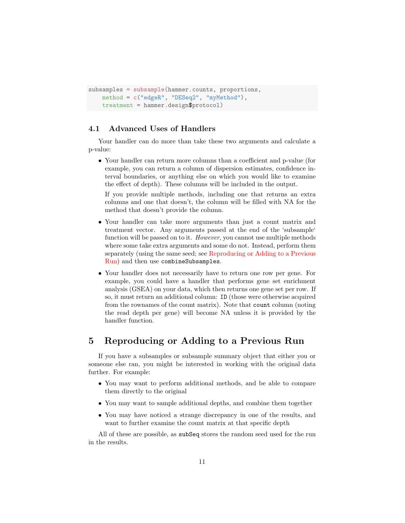```
subsamples = subsample(hammer.counts, proportions,
   method = c("edgeR", "DESeq2", "myMethod"),
   treatment = hammer.design$protocol)
```
#### <span id="page-10-0"></span>4.1 Advanced Uses of Handlers

Your handler can do more than take these two arguments and calculate a p-value:

• Your handler can return more columns than a coefficient and p-value (for example, you can return a column of dispersion estimates, confidence interval boundaries, or anything else on which you would like to examine the effect of depth). These columns will be included in the output.

If you provide multiple methods, including one that returns an extra columns and one that doesn't, the column will be filled with NA for the method that doesn't provide the column.

- Your handler can take more arguments than just a count matrix and treatment vector. Any arguments passed at the end of the 'subsample' function will be passed on to it. However, you cannot use multiple methods where some take extra arguments and some do not. Instead, perform them separately (using the same seed; see [Reproducing or Adding to a Previous](#page-10-1) [Run\)](#page-10-1) and then use combineSubsamples.
- Your handler does not necessarily have to return one row per gene. For example, you could have a handler that performs gene set enrichment analysis (GSEA) on your data, which then returns one gene set per row. If so, it must return an additional column: ID (those were otherwise acquired from the rownames of the count matrix). Note that count column (noting the read depth per gene) will become NA unless it is provided by the handler function.

# <span id="page-10-1"></span>5 Reproducing or Adding to a Previous Run

If you have a subsamples or subsample summary object that either you or someone else ran, you might be interested in working with the original data further. For example:

- You may want to perform additional methods, and be able to compare them directly to the original
- You may want to sample additional depths, and combine them together
- You may have noticed a strange discrepancy in one of the results, and want to further examine the count matrix at that specific depth

All of these are possible, as subSeq stores the random seed used for the run in the results.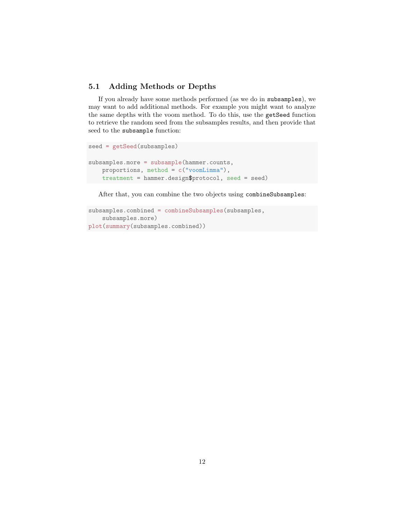#### <span id="page-11-0"></span>5.1 Adding Methods or Depths

If you already have some methods performed (as we do in subsamples), we may want to add additional methods. For example you might want to analyze the same depths with the voom method. To do this, use the getSeed function to retrieve the random seed from the subsamples results, and then provide that seed to the subsample function:

```
seed = getSeed(subsamples)
subsamples.more = subsample(hammer.counts,
   proportions, method = c("voomLimma"),
   treatment = hammer.design$protocol, seed = seed)
```
After that, you can combine the two objects using combineSubsamples:

```
subsamples.combined = combineSubsamples(subsamples,
   subsamples.more)
plot(summary(subsamples.combined))
```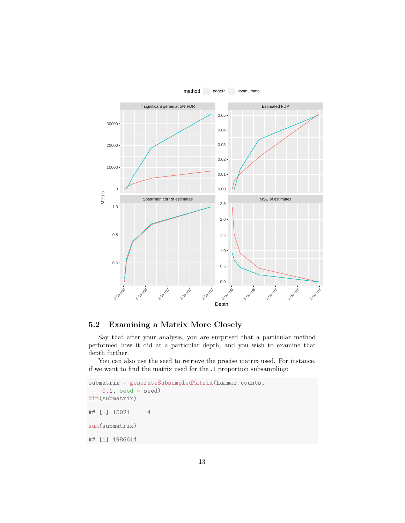

#### <span id="page-12-0"></span>5.2 Examining a Matrix More Closely

Say that after your analysis, you are surprised that a particular method performed how it did at a particular depth, and you wish to examine that depth further.

You can also use the seed to retrieve the precise matrix used. For instance, if we want to find the matrix used for the .1 proportion subsampling:

```
submatrix = generateSubsampledMatrix(hammer.counts,
    0.1, seed = seed)
dim(submatrix)
## [1] 15021 4
sum(submatrix)
## [1] 1986614
```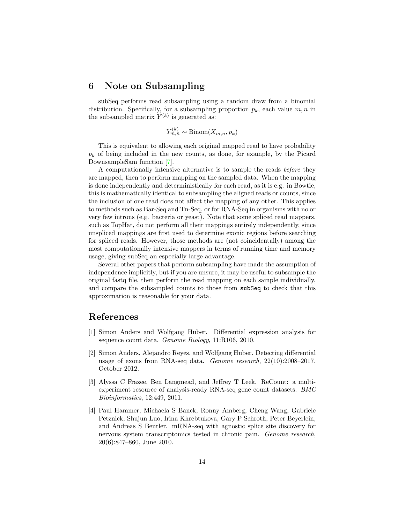### <span id="page-13-0"></span>6 Note on Subsampling

subSeq performs read subsampling using a random draw from a binomial distribution. Specifically, for a subsampling proportion  $p_k$ , each value  $m, n$  in the subsampled matrix  $Y^{(k)}$  is generated as:

 $Y_{m,n}^{(k)} \sim \text{Binom}(X_{m,n}, p_k)$ 

This is equivalent to allowing each original mapped read to have probability  $p_k$  of being included in the new counts, as done, for example, by the Picard DownsampleSam function [\[7\]](#page-14-2).

A computationally intensive alternative is to sample the reads before they are mapped, then to perform mapping on the sampled data. When the mapping is done independently and deterministically for each read, as it is e.g. in Bowtie, this is mathematically identical to subsampling the aligned reads or counts, since the inclusion of one read does not affect the mapping of any other. This applies to methods such as Bar-Seq and Tn-Seq, or for RNA-Seq in organisms with no or very few introns (e.g. bacteria or yeast). Note that some spliced read mappers, such as TopHat, do not perform all their mappings entirely independently, since unspliced mappings are first used to determine exonic regions before searching for spliced reads. However, those methods are (not coincidentally) among the most computationally intensive mappers in terms of running time and memory usage, giving subSeq an especially large advantage.

Several other papers that perform subsampling have made the assumption of independence implicitly, but if you are unsure, it may be useful to subsample the original fastq file, then perform the read mapping on each sample individually, and compare the subsampled counts to those from subSeq to check that this approximation is reasonable for your data.

# References

- <span id="page-13-3"></span>[1] Simon Anders and Wolfgang Huber. Differential expression analysis for sequence count data. Genome Biology, 11:R106, 2010.
- <span id="page-13-4"></span>[2] Simon Anders, Alejandro Reyes, and Wolfgang Huber. Detecting differential usage of exons from RNA-seq data. Genome research, 22(10):2008–2017, October 2012.
- <span id="page-13-2"></span>[3] Alyssa C Frazee, Ben Langmead, and Jeffrey T Leek. ReCount: a multiexperiment resource of analysis-ready RNA-seq gene count datasets. BMC Bioinformatics, 12:449, 2011.
- <span id="page-13-1"></span>[4] Paul Hammer, Michaela S Banck, Ronny Amberg, Cheng Wang, Gabriele Petznick, Shujun Luo, Irina Khrebtukova, Gary P Schroth, Peter Beyerlein, and Andreas S Beutler. mRNA-seq with agnostic splice site discovery for nervous system transcriptomics tested in chronic pain. Genome research, 20(6):847–860, June 2010.